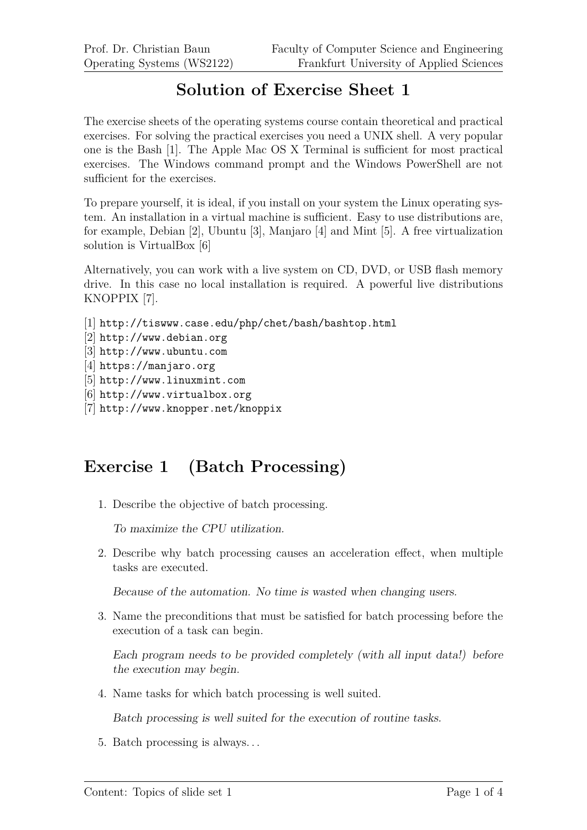## **Solution of Exercise Sheet 1**

The exercise sheets of the operating systems course contain theoretical and practical exercises. For solving the practical exercises you need a UNIX shell. A very popular one is the Bash [1]. The Apple Mac OS X Terminal is sufficient for most practical exercises. The Windows command prompt and the Windows PowerShell are not sufficient for the exercises.

To prepare yourself, it is ideal, if you install on your system the Linux operating system. An installation in a virtual machine is sufficient. Easy to use distributions are, for example, Debian [2], Ubuntu [3], Manjaro [4] and Mint [5]. A free virtualization solution is VirtualBox [6]

Alternatively, you can work with a live system on CD, DVD, or USB flash memory drive. In this case no local installation is required. A powerful live distributions KNOPPIX [7].

```
[1] http://tiswww.case.edu/php/chet/bash/bashtop.html
```
- [2] http://www.debian.org
- [3] http://www.ubuntu.com
- [4] https://manjaro.org
- [5] http://www.linuxmint.com
- [6] http://www.virtualbox.org
- [7] http://www.knopper.net/knoppix

## **Exercise 1 (Batch Processing)**

1. Describe the objective of batch processing.

To maximize the CPU utilization.

2. Describe why batch processing causes an acceleration effect, when multiple tasks are executed.

Because of the automation. No time is wasted when changing users.

3. Name the preconditions that must be satisfied for batch processing before the execution of a task can begin.

Each program needs to be provided completely (with all input data!) before the execution may begin.

4. Name tasks for which batch processing is well suited.

Batch processing is well suited for the execution of routine tasks.

5. Batch processing is always. . .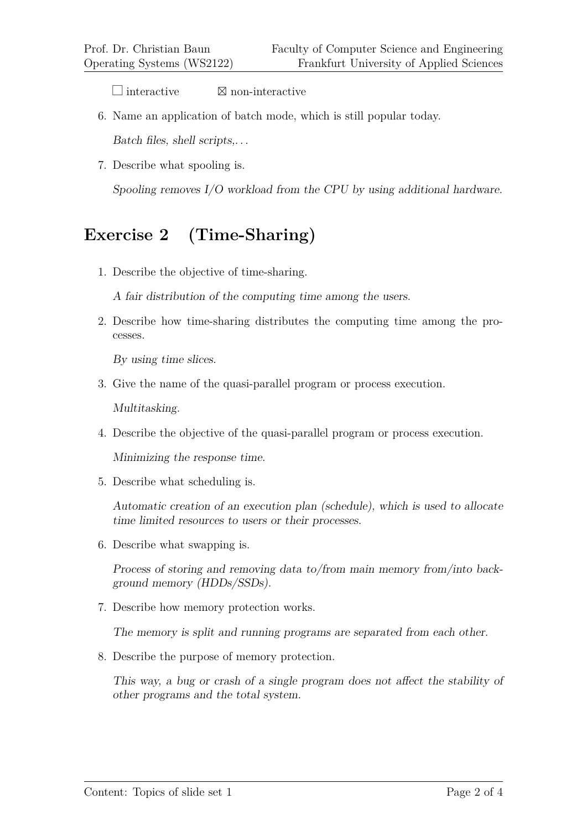$\Box$  interactive  $\boxtimes$  non-interactive

6. Name an application of batch mode, which is still popular today.

Batch files, shell scripts,. . .

7. Describe what spooling is.

Spooling removes I/O workload from the CPU by using additional hardware.

## **Exercise 2 (Time-Sharing)**

1. Describe the objective of time-sharing.

A fair distribution of the computing time among the users.

2. Describe how time-sharing distributes the computing time among the processes.

By using time slices.

3. Give the name of the quasi-parallel program or process execution.

Multitasking.

4. Describe the objective of the quasi-parallel program or process execution.

Minimizing the response time.

5. Describe what scheduling is.

Automatic creation of an execution plan (schedule), which is used to allocate time limited resources to users or their processes.

6. Describe what swapping is.

Process of storing and removing data to/from main memory from/into background memory (HDDs/SSDs).

7. Describe how memory protection works.

The memory is split and running programs are separated from each other.

8. Describe the purpose of memory protection.

This way, a bug or crash of a single program does not affect the stability of other programs and the total system.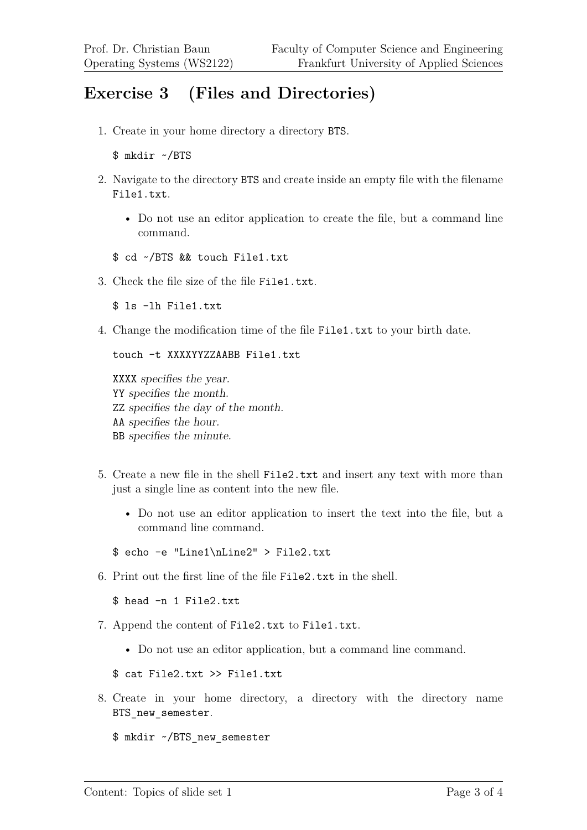## **Exercise 3 (Files and Directories)**

1. Create in your home directory a directory BTS.

```
$ mkdir ~/BTS
```
- 2. Navigate to the directory BTS and create inside an empty file with the filename File1.txt.
	- Do not use an editor application to create the file, but a command line command.
	- \$ cd ~/BTS && touch File1.txt
- 3. Check the file size of the file File1.txt.

\$ ls -lh File1.txt

4. Change the modification time of the file File1.txt to your birth date.

touch -t XXXXYYZZAABB File1.txt

XXXX specifies the year. YY specifies the month. ZZ specifies the day of the month. AA specifies the hour. BB specifies the minute.

- 5. Create a new file in the shell File2.txt and insert any text with more than just a single line as content into the new file.
	- Do not use an editor application to insert the text into the file, but a command line command.
	- \$ echo -e "Line1\nLine2" > File2.txt
- 6. Print out the first line of the file File2.txt in the shell.

\$ head -n 1 File2.txt

- 7. Append the content of File2.txt to File1.txt.
	- Do not use an editor application, but a command line command.

\$ cat File2.txt >> File1.txt

8. Create in your home directory, a directory with the directory name BTS new semester.

\$ mkdir ~/BTS\_new\_semester